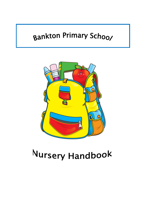# Bankton Primary School



# Nursery Handbook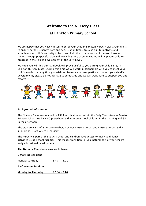## Welcome to the Nursery Class

### at Bankton Primary School

We are happy that you have chosen to enrol your child in Bankton Nursery Class. Our aim is to ensure he/she is happy, safe and secure at all times. We also aim to motivate and stimulate your child's curiosity to learn and help them make sense of the world around them. Through purposeful play and active learning experiences we will help your child to progress in their skills development at the Early Level.

We hope you will find our handbook will prove useful to you during your child's stay in Bankton Nursery Class. During this time we will work in partnership with you to meet your child's needs. If at any time you wish to discuss a concern, particularly about your child's development, please do not hesitate to contact us and we will work hard to support you and resolve it.



#### Background Information

The Nursery Class was opened in 1993 and is situated within the Early Years Area in Bankton Primary School. We have 40 pre-school and ante pre-school children in the morning and 35 in the afternoon.

The staff consists of a nursery teacher, a senior nursery nurse, two nursery nurses and a support assistant where necessary.

The nursery is part of the larger school and children have access to music and dance activities using school facilities. This makes transition to P.1 a natural part of your child's early educational development.

#### The Nursery Class hours are as follows:

|  | <b>5 Morning sessions</b> |
|--|---------------------------|
|  |                           |

Monday to Friday 8.47 - 11.20

4 Afternoon Sessions

Monday to Thursday 12.04 - 3.16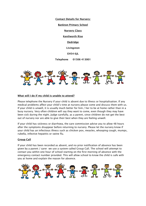Contact Details for Nursery:

Bankton Primary School

Nursery Class

Kenilworth Rise

Dedridge

Livingston

**EH54 6IL** 

Telephone 01506 413001



#### What will I do if my child is unable to attend?

Please telephone the Nursery if your child is absent due to illness or hospitalisation. If any medical problems affect your child's time at nursery please come and discuss them with us. If your child is unwell, it is usually much better for him / her to be at home rather than in a busy nursery. Very often children will say they want to come, even though they may have been sick during the night. Judge carefully, as a parent, since children do not get the best out of nursery nor are able to give their best when they are feeling unwell.

If your child has sickness or diarrhoea, the care commission advise you to allow 48 hours after the symptoms disappear before returning to nursery. Please let the nursery know if your child has an infectious illness such as chicken pox, measles, whooping cough, mumps, rubella, infective hepatitis or swine flu.

#### Group Call

If your child has been recorded as absent, and no prior notification of absence has been given by a parent / carer we use a system called Group Call. The school will attempt to contact you within one hour of school starting on the first morning of absence with the emergency contact number provided. This will allow school to know the child is safe with you at home and explain the reason for absence.